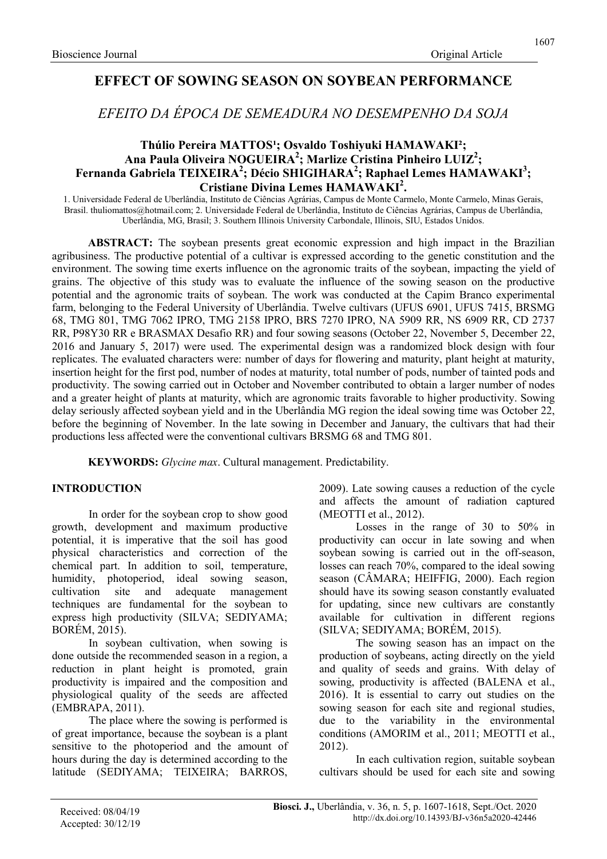## EFFECT OF SOWING SEASON ON SOYBEAN PERFORMANCE

EFEITO DA ÉPOCA DE SEMEADURA NO DESEMPENHO DA SOJA

### Thúlio Pereira MATTOS<sup>1</sup>; Osvaldo Toshiyuki HAMAWAKI<sup>2</sup>; Ana Paula Oliveira NOGUEIRA<sup>2</sup>; Marlize Cristina Pinheiro LUIZ<sup>2</sup>; Fernanda Gabriela TEIXEIRA<sup>2</sup>; Décio SHIGIHARA<sup>2</sup>; Raphael Lemes HAMAWAKI<sup>3</sup>; Cristiane Divina Lemes HAMAWAKI<sup>2</sup>.

1. Universidade Federal de Uberlândia, Instituto de Ciências Agrárias, Campus de Monte Carmelo, Monte Carmelo, Minas Gerais, Brasil. thuliomattos@hotmail.com; 2. Universidade Federal de Uberlândia, Instituto de Ciências Agrárias, Campus de Uberlândia, Uberlândia, MG, Brasil; 3. Southern Illinois University Carbondale, Illinois, SIU, Estados Unidos.

ABSTRACT: The soybean presents great economic expression and high impact in the Brazilian agribusiness. The productive potential of a cultivar is expressed according to the genetic constitution and the environment. The sowing time exerts influence on the agronomic traits of the soybean, impacting the yield of grains. The objective of this study was to evaluate the influence of the sowing season on the productive potential and the agronomic traits of soybean. The work was conducted at the Capim Branco experimental farm, belonging to the Federal University of Uberlândia. Twelve cultivars (UFUS 6901, UFUS 7415, BRSMG 68, TMG 801, TMG 7062 IPRO, TMG 2158 IPRO, BRS 7270 IPRO, NA 5909 RR, NS 6909 RR, CD 2737 RR, P98Y30 RR e BRASMAX Desafio RR) and four sowing seasons (October 22, November 5, December 22, 2016 and January 5, 2017) were used. The experimental design was a randomized block design with four replicates. The evaluated characters were: number of days for flowering and maturity, plant height at maturity, insertion height for the first pod, number of nodes at maturity, total number of pods, number of tainted pods and productivity. The sowing carried out in October and November contributed to obtain a larger number of nodes and a greater height of plants at maturity, which are agronomic traits favorable to higher productivity. Sowing delay seriously affected soybean yield and in the Uberlândia MG region the ideal sowing time was October 22, before the beginning of November. In the late sowing in December and January, the cultivars that had their productions less affected were the conventional cultivars BRSMG 68 and TMG 801.

KEYWORDS: Glycine max. Cultural management. Predictability.

### INTRODUCTION

In order for the soybean crop to show good growth, development and maximum productive potential, it is imperative that the soil has good physical characteristics and correction of the chemical part. In addition to soil, temperature, humidity, photoperiod, ideal sowing season, cultivation site and adequate management techniques are fundamental for the soybean to express high productivity (SILVA; SEDIYAMA; BORÉM, 2015).

In soybean cultivation, when sowing is done outside the recommended season in a region, a reduction in plant height is promoted, grain productivity is impaired and the composition and physiological quality of the seeds are affected (EMBRAPA, 2011).

The place where the sowing is performed is of great importance, because the soybean is a plant sensitive to the photoperiod and the amount of hours during the day is determined according to the latitude (SEDIYAMA; TEIXEIRA; BARROS,

2009). Late sowing causes a reduction of the cycle and affects the amount of radiation captured (MEOTTI et al., 2012).

Losses in the range of 30 to 50% in productivity can occur in late sowing and when soybean sowing is carried out in the off-season, losses can reach 70%, compared to the ideal sowing season (CÂMARA; HEIFFIG, 2000). Each region should have its sowing season constantly evaluated for updating, since new cultivars are constantly available for cultivation in different regions (SILVA; SEDIYAMA; BORÉM, 2015).

The sowing season has an impact on the production of soybeans, acting directly on the yield and quality of seeds and grains. With delay of sowing, productivity is affected (BALENA et al., 2016). It is essential to carry out studies on the sowing season for each site and regional studies, due to the variability in the environmental conditions (AMORIM et al., 2011; MEOTTI et al., 2012).

In each cultivation region, suitable soybean cultivars should be used for each site and sowing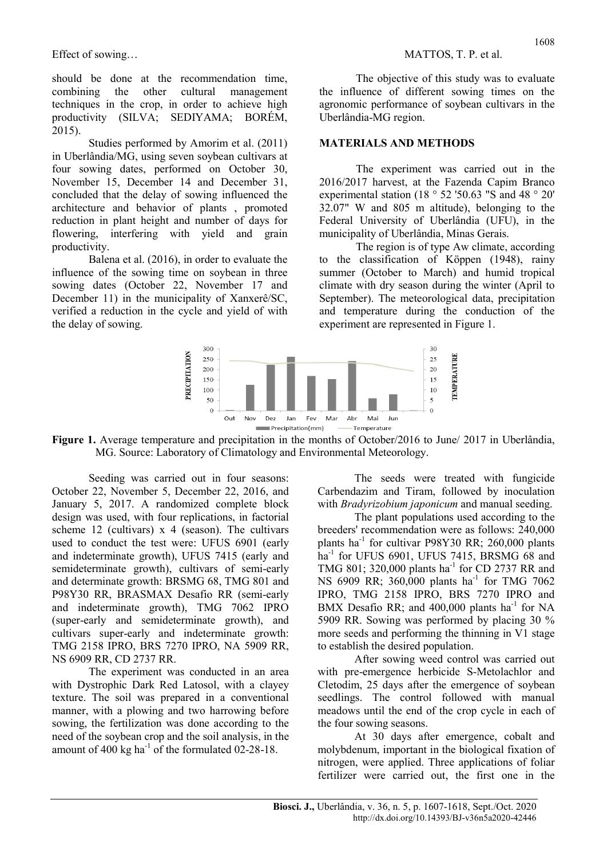should be done at the recommendation time, combining the other cultural management techniques in the crop, in order to achieve high productivity (SILVA; SEDIYAMA; BORÉM,  $2015$ ).

Studies performed by Amorim et al. (2011) in Uberlândia/MG, using seven soybean cultivars at four sowing dates, performed on October 30, November 15, December 14 and December 31, concluded that the delay of sowing influenced the architecture and behavior of plants , promoted reduction in plant height and number of days for flowering, interfering with yield and grain productivity.

Balena et al. (2016), in order to evaluate the influence of the sowing time on soybean in three sowing dates (October 22, November 17 and December 11) in the municipality of Xanxerê/SC, verified a reduction in the cycle and yield of with the delay of sowing.

The objective of this study was to evaluate the influence of different sowing times on the agronomic performance of soybean cultivars in the Uberlândia-MG region.

### MATERIALS AND METHODS

The experiment was carried out in the 2016/2017 harvest, at the Fazenda Capim Branco experimental station (18 ° 52 '50.63 "S and 48 ° 20' 32.07" W and 805 m altitude), belonging to the Federal University of Uberlândia (UFU), in the municipality of Uberlândia, Minas Gerais.

The region is of type Aw climate, according to the classification of Köppen (1948), rainy summer (October to March) and humid tropical climate with dry season during the winter (April to September). The meteorological data, precipitation and temperature during the conduction of the experiment are represented in Figure 1.



Figure 1. Average temperature and precipitation in the months of October/2016 to June/ 2017 in Uberlândia, MG. Source: Laboratory of Climatology and Environmental Meteorology.

Seeding was carried out in four seasons: October 22, November 5, December 22, 2016, and January 5, 2017. A randomized complete block design was used, with four replications, in factorial scheme 12 (cultivars)  $x$  4 (season). The cultivars used to conduct the test were: UFUS 6901 (early and indeterminate growth), UFUS 7415 (early and semideterminate growth), cultivars of semi-early and determinate growth: BRSMG 68, TMG 801 and P98Y30 RR, BRASMAX Desafio RR (semi-early and indeterminate growth), TMG 7062 IPRO (super-early and semideterminate growth), and cultivars super-early and indeterminate growth: TMG 2158 IPRO, BRS 7270 IPRO, NA 5909 RR, NS 6909 RR, CD 2737 RR.

The experiment was conducted in an area with Dystrophic Dark Red Latosol, with a clayey texture. The soil was prepared in a conventional manner, with a plowing and two harrowing before sowing, the fertilization was done according to the need of the soybean crop and the soil analysis, in the amount of 400 kg ha $^{-1}$  of the formulated 02-28-18.

The seeds were treated with fungicide Carbendazim and Tiram, followed by inoculation with *Bradyrizobium japonicum* and manual seeding.

The plant populations used according to the breeders' recommendation were as follows: 240,000 plants ha-1 for cultivar P98Y30 RR; 260,000 plants ha<sup>-1</sup> for UFUS 6901, UFUS 7415, BRSMG 68 and TMG 801; 320,000 plants ha<sup>-1</sup> for CD 2737 RR and NS 6909 RR; 360,000 plants ha<sup>-1</sup> for TMG 7062 IPRO, TMG 2158 IPRO, BRS 7270 IPRO and BMX Desafio RR; and  $400,000$  plants ha<sup>-1</sup> for NA 5909 RR. Sowing was performed by placing 30 % more seeds and performing the thinning in V1 stage to establish the desired population.

After sowing weed control was carried out with pre-emergence herbicide S-Metolachlor and Cletodim, 25 days after the emergence of soybean seedlings. The control followed with manual meadows until the end of the crop cycle in each of the four sowing seasons.

At 30 days after emergence, cobalt and molybdenum, important in the biological fixation of nitrogen, were applied. Three applications of foliar fertilizer were carried out, the first one in the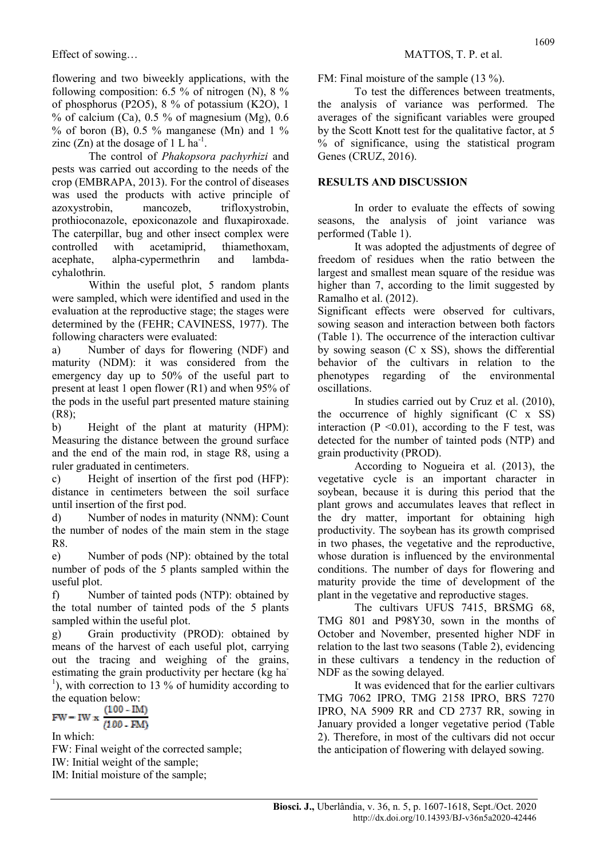flowering and two biweekly applications, with the following composition:  $6.5 \%$  of nitrogen (N),  $8 \%$ of phosphorus (P2O5), 8 % of potassium (K2O), 1 % of calcium (Ca),  $0.5$  % of magnesium (Mg),  $0.6$  $%$  of boron (B), 0.5  $%$  manganese (Mn) and 1  $%$ zinc  $(Zn)$  at the dosage of 1 L ha<sup>-1</sup>.

The control of Phakopsora pachyrhizi and pests was carried out according to the needs of the crop (EMBRAPA, 2013). For the control of diseases was used the products with active principle of azoxystrobin, mancozeb, trifloxystrobin, prothioconazole, epoxiconazole and fluxapiroxade. The caterpillar, bug and other insect complex were controlled with acetamiprid, thiamethoxam, acephate, alpha-cypermethrin and lambdacyhalothrin.

Within the useful plot, 5 random plants were sampled, which were identified and used in the evaluation at the reproductive stage; the stages were determined by the (FEHR; CAVINESS, 1977). The following characters were evaluated:

a) Number of days for flowering (NDF) and maturity (NDM): it was considered from the emergency day up to 50% of the useful part to present at least 1 open flower (R1) and when 95% of the pods in the useful part presented mature staining (R8);

b) Height of the plant at maturity (HPM): Measuring the distance between the ground surface and the end of the main rod, in stage R8, using a ruler graduated in centimeters.

c) Height of insertion of the first pod (HFP): distance in centimeters between the soil surface until insertion of the first pod.

d) Number of nodes in maturity (NNM): Count the number of nodes of the main stem in the stage R8.

e) Number of pods (NP): obtained by the total number of pods of the 5 plants sampled within the useful plot.

f) Number of tainted pods (NTP): obtained by the total number of tainted pods of the 5 plants sampled within the useful plot.

g) Grain productivity (PROD): obtained by means of the harvest of each useful plot, carrying out the tracing and weighing of the grains, estimating the grain productivity per hectare (kg ha- $\alpha$ <sup>1</sup>), with correction to 13 % of humidity according to the equation below:

$$
FW = I W \times \frac{(100 - IM)}{(100 - FM)}
$$

In which:

FW: Final weight of the corrected sample; IW: Initial weight of the sample; IM: Initial moisture of the sample;

FM: Final moisture of the sample (13 %).

To test the differences between treatments, the analysis of variance was performed. The averages of the significant variables were grouped by the Scott Knott test for the qualitative factor, at 5 % of significance, using the statistical program Genes (CRUZ, 2016).

### RESULTS AND DISCUSSION

In order to evaluate the effects of sowing seasons, the analysis of joint variance was performed (Table 1).

It was adopted the adjustments of degree of freedom of residues when the ratio between the largest and smallest mean square of the residue was higher than 7, according to the limit suggested by Ramalho et al. (2012).

Significant effects were observed for cultivars, sowing season and interaction between both factors (Table 1). The occurrence of the interaction cultivar by sowing season (C x SS), shows the differential behavior of the cultivars in relation to the phenotypes regarding of the environmental oscillations.

In studies carried out by Cruz et al. (2010), the occurrence of highly significant (C x SS) interaction ( $P \le 0.01$ ), according to the F test, was detected for the number of tainted pods (NTP) and grain productivity (PROD).

According to Nogueira et al. (2013), the vegetative cycle is an important character in soybean, because it is during this period that the plant grows and accumulates leaves that reflect in the dry matter, important for obtaining high productivity. The soybean has its growth comprised in two phases, the vegetative and the reproductive, whose duration is influenced by the environmental conditions. The number of days for flowering and maturity provide the time of development of the plant in the vegetative and reproductive stages.

The cultivars UFUS 7415, BRSMG 68, TMG 801 and P98Y30, sown in the months of October and November, presented higher NDF in relation to the last two seasons (Table 2), evidencing in these cultivars a tendency in the reduction of NDF as the sowing delayed.

It was evidenced that for the earlier cultivars TMG 7062 IPRO, TMG 2158 IPRO, BRS 7270 IPRO, NA 5909 RR and CD 2737 RR, sowing in January provided a longer vegetative period (Table 2). Therefore, in most of the cultivars did not occur the anticipation of flowering with delayed sowing.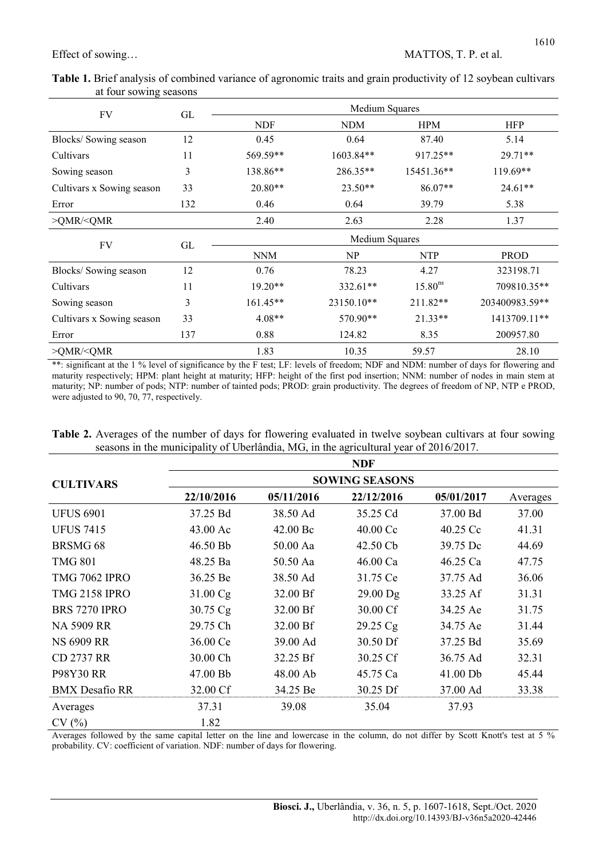| at four sowing seasons    |     | $\tilde{\phantom{a}}$ |                |              |            |
|---------------------------|-----|-----------------------|----------------|--------------|------------|
| FV                        | GL  |                       | Medium Squares |              |            |
|                           |     | <b>NDF</b>            | <b>NDM</b>     | <b>HPM</b>   | <b>HFP</b> |
| Blocks/Sowing season      | 12  | 0.45                  | 0.64           | 87.40        | 5.14       |
| Cultivars                 | 11  | 569.59**              | $1603.84**$    | $917.25**$   | $29.71**$  |
| Sowing season             | 3   | 138.86**              | 286.35**       | $15451.36**$ | $119.69**$ |
| Cultivars x Sowing season | 33  | $20.80**$             | $23.50**$      | $86.07**$    | $24.61**$  |
| Error                     | 132 | 0.46                  | 0.64           | 39.79        | 5.38       |

>QMR/<QMR 2.40 2.63 2.28 1.37

Blocks/ Sowing season 12 0.76 78.23 4.27 323198.71 Cultivars 11 19.20\*\* 332.61\*\* 15.80<sup>ns</sup> 709810.35\*\* Sowing season 3 161.45\*\* 23150.10\*\* 211.82\*\* 203400983.59\*\* Cultivars x Sowing season 33 4.08\*\* 570.90\*\* 21.33\*\* 1413709.11\*\* Error 137 0.88 124.82 8.35 200957.80 >QMR/<QMR 1.83 10.35 59.57 28.10

FV GL NNM NP NTP NTP

Table 1. Brief analysis of combined variance of agronomic traits and grain productivity of 12 soybean cultivars

\*\*: significant at the 1 % level of significance by the F test; LF: levels of freedom; NDF and NDM: number of days for flowering and maturity respectively; HPM: plant height at maturity; HFP: height of the first pod insertion; NNM: number of nodes in main stem at maturity; NP: number of pods; NTP: number of tainted pods; PROD: grain productivity. The degrees of freedom of NP, NTP e PROD, were adjusted to 90, 70, 77, respectively.

Table 2. Averages of the number of days for flowering evaluated in twelve soybean cultivars at four sowing seasons in the municipality of Uberlândia, MG, in the agricultural year of 2016/2017.

|                       |            |            | <b>NDF</b>            |            |          |
|-----------------------|------------|------------|-----------------------|------------|----------|
| <b>CULTIVARS</b>      |            |            | <b>SOWING SEASONS</b> |            |          |
|                       | 22/10/2016 | 05/11/2016 | 22/12/2016            | 05/01/2017 | Averages |
| <b>UFUS 6901</b>      | 37.25 Bd   | 38.50 Ad   | 35.25 Cd              | 37.00 Bd   | 37.00    |
| <b>UFUS 7415</b>      | 43.00 Ac   | 42.00 Bc   | 40.00 Cc              | 40.25 Cc   | 41.31    |
| BRSMG <sub>68</sub>   | 46.50 Bb   | 50.00 Aa   | 42.50 Cb              | 39.75 Dc   | 44.69    |
| <b>TMG 801</b>        | 48.25 Ba   | 50.50 Aa   | 46.00 Ca              | 46.25 Ca   | 47.75    |
| <b>TMG 7062 IPRO</b>  | 36.25 Be   | 38.50 Ad   | 31.75 Ce              | 37.75 Ad   | 36.06    |
| <b>TMG 2158 IPRO</b>  | 31.00 Cg   | 32.00 Bf   | $29.00$ Dg            | 33.25 Af   | 31.31    |
| <b>BRS 7270 IPRO</b>  | 30.75 Cg   | 32.00 Bf   | 30.00 Cf              | 34.25 Ae   | 31.75    |
| <b>NA 5909 RR</b>     | 29.75 Ch   | 32.00 Bf   | 29.25 Cg              | 34.75 Ae   | 31.44    |
| <b>NS 6909 RR</b>     | 36.00 Ce   | 39.00 Ad   | 30.50 Df              | 37.25 Bd   | 35.69    |
| <b>CD 2737 RR</b>     | 30.00 Ch   | 32.25 Bf   | 30.25 Cf              | 36.75 Ad   | 32.31    |
| <b>P98Y30 RR</b>      | 47.00 Bb   | 48.00 Ab   | 45.75 Ca              | 41.00 Db   | 45.44    |
| <b>BMX</b> Desafio RR | 32.00 Cf   | 34.25 Be   | 30.25 Df              | 37.00 Ad   | 33.38    |
| Averages              | 37.31      | 39.08      | 35.04                 | 37.93      |          |
| CV(%)                 | 1.82       |            |                       |            |          |

Averages followed by the same capital letter on the line and lowercase in the column, do not differ by Scott Knott's test at 5 % probability. CV: coefficient of variation. NDF: number of days for flowering.

PROD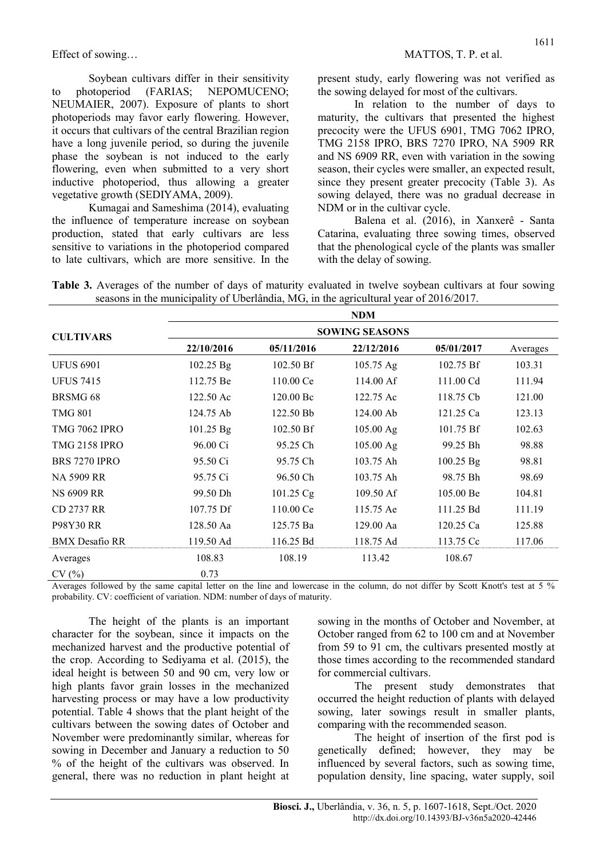Soybean cultivars differ in their sensitivity to photoperiod (FARIAS; NEPOMUCENO; NEUMAIER, 2007). Exposure of plants to short photoperiods may favor early flowering. However, it occurs that cultivars of the central Brazilian region have a long juvenile period, so during the juvenile phase the soybean is not induced to the early flowering, even when submitted to a very short inductive photoperiod, thus allowing a greater vegetative growth (SEDIYAMA, 2009).

Kumagai and Sameshima (2014), evaluating the influence of temperature increase on soybean production, stated that early cultivars are less sensitive to variations in the photoperiod compared to late cultivars, which are more sensitive. In the present study, early flowering was not verified as the sowing delayed for most of the cultivars.

In relation to the number of days to maturity, the cultivars that presented the highest precocity were the UFUS 6901, TMG 7062 IPRO, TMG 2158 IPRO, BRS 7270 IPRO, NA 5909 RR and NS 6909 RR, even with variation in the sowing season, their cycles were smaller, an expected result, since they present greater precocity (Table 3). As sowing delayed, there was no gradual decrease in NDM or in the cultivar cycle.

Balena et al. (2016), in Xanxerê - Santa Catarina, evaluating three sowing times, observed that the phenological cycle of the plants was smaller with the delay of sowing.

|  |  | Table 3. Averages of the number of days of maturity evaluated in twelve soybean cultivars at four sowing |  |  |  |
|--|--|----------------------------------------------------------------------------------------------------------|--|--|--|
|  |  | seasons in the municipality of Uberlândia, MG, in the agricultural year of $2016/2017$ .                 |  |  |  |

|                       |                     |                       | <b>NDM</b>          |             |          |  |  |  |  |  |  |  |
|-----------------------|---------------------|-----------------------|---------------------|-------------|----------|--|--|--|--|--|--|--|
| <b>CULTIVARS</b>      |                     | <b>SOWING SEASONS</b> |                     |             |          |  |  |  |  |  |  |  |
|                       | 22/10/2016          | 05/11/2016            | 22/12/2016          | 05/01/2017  | Averages |  |  |  |  |  |  |  |
| <b>UFUS 6901</b>      | 102.25 Bg           | 102.50 Bf             | $105.75 \text{ Ag}$ | 102.75 Bf   | 103.31   |  |  |  |  |  |  |  |
| <b>UFUS 7415</b>      | 112.75 Be           | 110.00 Ce             | 114.00 Af           | 111.00 Cd   | 111.94   |  |  |  |  |  |  |  |
| BRSMG <sub>68</sub>   | $122.50 \text{ Ac}$ | 120.00 Bc             | 122.75 Ac           | 118.75 Cb   | 121.00   |  |  |  |  |  |  |  |
| <b>TMG 801</b>        | 124.75 Ab           | 122.50 Bb             | $124.00$ Ab         | 121.25 Ca   | 123.13   |  |  |  |  |  |  |  |
| <b>TMG 7062 IPRO</b>  | 101.25 Bg           | 102.50 Bf             | 105.00 Ag           | 101.75 Bf   | 102.63   |  |  |  |  |  |  |  |
| <b>TMG 2158 IPRO</b>  | 96.00 Ci            | 95.25 Ch              | 105.00 Ag           | 99.25 Bh    | 98.88    |  |  |  |  |  |  |  |
| <b>BRS 7270 IPRO</b>  | 95.50 Ci            | 95.75 Ch              | 103.75 Ah           | $100.25$ Bg | 98.81    |  |  |  |  |  |  |  |
| <b>NA 5909 RR</b>     | 95.75 Ci            | 96.50 Ch              | 103.75 Ah           | 98.75 Bh    | 98.69    |  |  |  |  |  |  |  |
| <b>NS 6909 RR</b>     | 99.50 Dh            | 101.25 Cg             | 109.50 Af           | 105.00 Be   | 104.81   |  |  |  |  |  |  |  |
| CD 2737 RR            | 107.75 Df           | 110.00 Ce             | 115.75 Ae           | 111.25 Bd   | 111.19   |  |  |  |  |  |  |  |
| P98Y30 RR             | 128.50 Aa           | 125.75 Ba             | 129.00 Aa           | 120.25 Ca   | 125.88   |  |  |  |  |  |  |  |
| <b>BMX</b> Desafio RR | 119.50 Ad           | 116.25 Bd             | 118.75 Ad           | 113.75 Cc   | 117.06   |  |  |  |  |  |  |  |
| Averages              | 108.83              | 108.19                | 113.42              | 108.67      |          |  |  |  |  |  |  |  |
| CV(%)                 | 0.73                |                       |                     |             |          |  |  |  |  |  |  |  |

Averages followed by the same capital letter on the line and lowercase in the column, do not differ by Scott Knott's test at 5 % probability. CV: coefficient of variation. NDM: number of days of maturity.

The height of the plants is an important character for the soybean, since it impacts on the mechanized harvest and the productive potential of the crop. According to Sediyama et al. (2015), the ideal height is between 50 and 90 cm, very low or high plants favor grain losses in the mechanized harvesting process or may have a low productivity potential. Table 4 shows that the plant height of the cultivars between the sowing dates of October and November were predominantly similar, whereas for sowing in December and January a reduction to 50 % of the height of the cultivars was observed. In general, there was no reduction in plant height at sowing in the months of October and November, at October ranged from 62 to 100 cm and at November from 59 to 91 cm, the cultivars presented mostly at those times according to the recommended standard for commercial cultivars.

The present study demonstrates that occurred the height reduction of plants with delayed sowing, later sowings result in smaller plants, comparing with the recommended season.

The height of insertion of the first pod is genetically defined; however, they may be influenced by several factors, such as sowing time, population density, line spacing, water supply, soil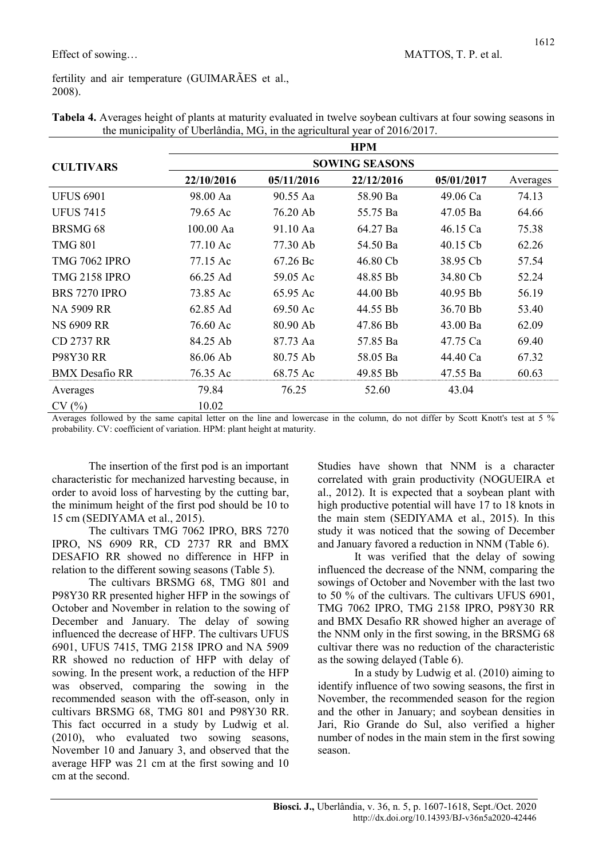fertility and air temperature (GUIMARÃES et al., 2008).

|                       |                       |            | <b>HPM</b> |            |          |  |  |  |  |  |  |
|-----------------------|-----------------------|------------|------------|------------|----------|--|--|--|--|--|--|
| <b>CULTIVARS</b>      | <b>SOWING SEASONS</b> |            |            |            |          |  |  |  |  |  |  |
|                       | 22/10/2016            | 05/11/2016 | 22/12/2016 | 05/01/2017 | Averages |  |  |  |  |  |  |
| <b>UFUS 6901</b>      | 98.00 Aa              | 90.55 Aa   | 58.90 Ba   | 49.06 Ca   | 74.13    |  |  |  |  |  |  |
| <b>UFUS 7415</b>      | 79.65 Ac              | 76.20 Ab   | 55.75 Ba   | 47.05 Ba   | 64.66    |  |  |  |  |  |  |
| <b>BRSMG 68</b>       | 100.00 Aa             | 91.10 Aa   | 64.27 Ba   | 46.15 Ca   | 75.38    |  |  |  |  |  |  |
| <b>TMG 801</b>        | 77.10 Ac              | 77.30 Ab   | 54.50 Ba   | 40.15 Cb   | 62.26    |  |  |  |  |  |  |
| <b>TMG 7062 IPRO</b>  | 77.15 Ac              | 67.26 Bc   | 46.80 Cb   | 38.95 Cb   | 57.54    |  |  |  |  |  |  |
| <b>TMG 2158 IPRO</b>  | 66.25 Ad              | 59.05 Ac   | 48.85 Bb   | 34.80 Cb   | 52.24    |  |  |  |  |  |  |
| <b>BRS 7270 IPRO</b>  | 73.85 Ac              | 65.95 Ac   | 44.00 Bb   | 40.95 Bb   | 56.19    |  |  |  |  |  |  |
| <b>NA 5909 RR</b>     | 62.85 Ad              | 69.50 Ac   | 44.55 Bb   | 36.70 Bb   | 53.40    |  |  |  |  |  |  |
| <b>NS 6909 RR</b>     | 76.60 Ac              | 80.90 Ab   | 47.86 Bb   | 43.00 Ba   | 62.09    |  |  |  |  |  |  |
| <b>CD 2737 RR</b>     | 84.25 Ab              | 87.73 Aa   | 57.85 Ba   | 47.75 Ca   | 69.40    |  |  |  |  |  |  |
| <b>P98Y30 RR</b>      | 86.06 Ab              | 80.75 Ab   | 58.05 Ba   | 44.40 Ca   | 67.32    |  |  |  |  |  |  |
| <b>BMX</b> Desafio RR | 76.35 Ac              | 68.75 Ac   | 49.85 Bb   | 47.55 Ba   | 60.63    |  |  |  |  |  |  |
| Averages              | 79.84                 | 76.25      | 52.60      | 43.04      |          |  |  |  |  |  |  |
| CV(%)                 | 10.02                 |            |            |            |          |  |  |  |  |  |  |

| Tabela 4. Averages height of plants at maturity evaluated in twelve soybean cultivars at four sowing seasons in |  |
|-----------------------------------------------------------------------------------------------------------------|--|
| the municipality of Uberlândia, MG, in the agricultural year of 2016/2017.                                      |  |

Averages followed by the same capital letter on the line and lowercase in the column, do not differ by Scott Knott's test at 5 % probability. CV: coefficient of variation. HPM: plant height at maturity.

The insertion of the first pod is an important characteristic for mechanized harvesting because, in order to avoid loss of harvesting by the cutting bar, the minimum height of the first pod should be 10 to 15 cm (SEDIYAMA et al., 2015).

The cultivars TMG 7062 IPRO, BRS 7270 IPRO, NS 6909 RR, CD 2737 RR and BMX DESAFIO RR showed no difference in HFP in relation to the different sowing seasons (Table 5).

The cultivars BRSMG 68, TMG 801 and P98Y30 RR presented higher HFP in the sowings of October and November in relation to the sowing of December and January. The delay of sowing influenced the decrease of HFP. The cultivars UFUS 6901, UFUS 7415, TMG 2158 IPRO and NA 5909 RR showed no reduction of HFP with delay of sowing. In the present work, a reduction of the HFP was observed, comparing the sowing in the recommended season with the off-season, only in cultivars BRSMG 68, TMG 801 and P98Y30 RR. This fact occurred in a study by Ludwig et al. (2010), who evaluated two sowing seasons, November 10 and January 3, and observed that the average HFP was 21 cm at the first sowing and 10 cm at the second.

Studies have shown that NNM is a character correlated with grain productivity (NOGUEIRA et al., 2012). It is expected that a soybean plant with high productive potential will have 17 to 18 knots in the main stem (SEDIYAMA et al., 2015). In this study it was noticed that the sowing of December and January favored a reduction in NNM (Table 6).

It was verified that the delay of sowing influenced the decrease of the NNM, comparing the sowings of October and November with the last two to 50 % of the cultivars. The cultivars UFUS 6901, TMG 7062 IPRO, TMG 2158 IPRO, P98Y30 RR and BMX Desafio RR showed higher an average of the NNM only in the first sowing, in the BRSMG 68 cultivar there was no reduction of the characteristic as the sowing delayed (Table 6).

In a study by Ludwig et al. (2010) aiming to identify influence of two sowing seasons, the first in November, the recommended season for the region and the other in January; and soybean densities in Jari, Rio Grande do Sul, also verified a higher number of nodes in the main stem in the first sowing season.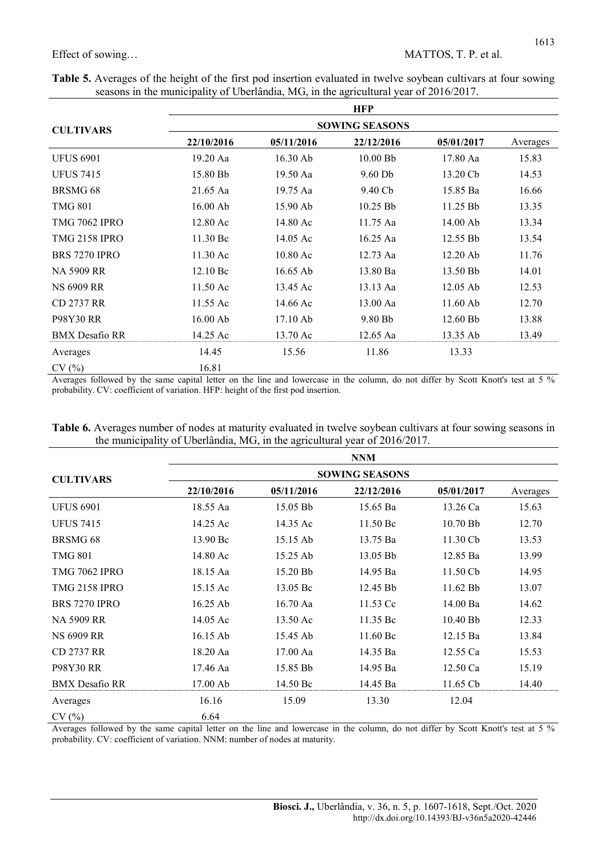$\blacksquare$ 

| Table 5. Averages of the height of the first pod insertion evaluated in twelve soybean cultivars at four sowing |  |
|-----------------------------------------------------------------------------------------------------------------|--|
| seasons in the municipality of Uberlândia, MG, in the agricultural year of 2016/2017.                           |  |

|                       |                    |            | <b>HFP</b>            |            |          |
|-----------------------|--------------------|------------|-----------------------|------------|----------|
| <b>CULTIVARS</b>      |                    |            | <b>SOWING SEASONS</b> |            |          |
|                       | 22/10/2016         | 05/11/2016 | 22/12/2016            | 05/01/2017 | Averages |
| <b>UFUS 6901</b>      | 19.20 Aa           | 16.30 Ab   | $10.00$ Bb            | 17.80 Aa   | 15.83    |
| <b>UFUS 7415</b>      | 15.80 Bb           | 19.50 Aa   | $9.60$ Db             | 13.20 Cb   | 14.53    |
| BRSMG <sub>68</sub>   | 21.65 Aa           | 19.75 Aa   | 9.40 Cb               | 15.85 Ba   | 16.66    |
| <b>TMG 801</b>        | $16.00$ Ab         | 15.90 Ab   | 10.25 Bb              | 11.25 Bb   | 13.35    |
| <b>TMG 7062 IPRO</b>  | 12.80 Ac           | 14.80 Ac   | 11.75 Aa              | 14.00 Ab   | 13.34    |
| <b>TMG 2158 IPRO</b>  | 11.30 Bc           | 14.05 Ac   | 16.25 Aa              | 12.55 Bb   | 13.54    |
| <b>BRS 7270 IPRO</b>  | $11.30$ Ac         | $10.80$ Ac | 12.73 Aa              | $12.20$ Ab | 11.76    |
| NA 5909 RR            | $12.10\,\text{Be}$ | $16.65$ Ab | 13.80 Ba              | 13.50 Bb   | 14.01    |
| <b>NS 6909 RR</b>     | $11.50 \text{Ac}$  | 13.45 Ac   | 13.13 Aa              | $12.05$ Ab | 12.53    |
| CD 2737 RR            | 11.55 Ac           | 14.66 Ac   | 13.00 Aa              | $11.60$ Ab | 12.70    |
| <b>P98Y30 RR</b>      | 16.00 Ab           | 17.10 Ab   | 9.80 Bb               | 12.60 Bb   | 13.88    |
| <b>BMX</b> Desafio RR | 14.25 Ac           | 13.70 Ac   | 12.65 Aa              | 13.35 Ab   | 13.49    |
| Averages              | 14.45              | 15.56      | 11.86                 | 13.33      |          |
| CV(%)                 | 16.81              |            |                       |            |          |

Averages followed by the same capital letter on the line and lowercase in the column, do not differ by Scott Knott's test at 5 % probability. CV: coefficient of variation. HFP: height of the first pod insertion.

| Table 6. Averages number of nodes at maturity evaluated in twelve soybean cultivars at four sowing seasons in |  |
|---------------------------------------------------------------------------------------------------------------|--|
| the municipality of Uberlândia, MG, in the agricultural year of 2016/2017.                                    |  |

|                       |            |                       | <b>NNM</b> |                    |          |  |  |  |  |  |  |  |
|-----------------------|------------|-----------------------|------------|--------------------|----------|--|--|--|--|--|--|--|
| <b>CULTIVARS</b>      |            | <b>SOWING SEASONS</b> |            |                    |          |  |  |  |  |  |  |  |
|                       | 22/10/2016 | 05/11/2016            | 22/12/2016 | 05/01/2017         | Averages |  |  |  |  |  |  |  |
| <b>UFUS 6901</b>      | 18.55 Aa   | 15.05 Bb              | 15.65 Ba   | 13.26 Ca           | 15.63    |  |  |  |  |  |  |  |
| <b>UFUS 7415</b>      | 14.25 Ac   | 14.35 Ac              | 11.50 Bc   | 10.70 Bb           | 12.70    |  |  |  |  |  |  |  |
| BRSMG <sub>68</sub>   | 13.90 Bc   | 15.15 Ab              | 13.75 Ba   | 11.30 Cb           | 13.53    |  |  |  |  |  |  |  |
| <b>TMG 801</b>        | 14.80 Ac   | 15.25 Ab              | 13.05 Bb   | 12.85 Ba           | 13.99    |  |  |  |  |  |  |  |
| <b>TMG 7062 IPRO</b>  | 18.15 Aa   | 15.20 Bb              | 14.95 Ba   | $11.50 \text{ Cb}$ | 14.95    |  |  |  |  |  |  |  |
| <b>TMG 2158 IPRO</b>  | 15.15 Ac   | 13.05 Bc              | 12.45 Bb   | $11.62$ Bb         | 13.07    |  |  |  |  |  |  |  |
| <b>BRS 7270 IPRO</b>  | $16.25$ Ab | 16.70 Aa              | 11.53 Cc   | 14.00 Ba           | 14.62    |  |  |  |  |  |  |  |
| <b>NA 5909 RR</b>     | 14.05 Ac   | 13.50 Ac              | 11.35 Bc   | $10.40$ Bb         | 12.33    |  |  |  |  |  |  |  |
| <b>NS 6909 RR</b>     | $16.15$ Ab | 15.45 Ab              | 11.60 Bc   | 12.15 Ba           | 13.84    |  |  |  |  |  |  |  |
| CD 2737 RR            | 18.20 Aa   | 17.00 Aa              | 14.35 Ba   | 12.55 Ca           | 15.53    |  |  |  |  |  |  |  |
| <b>P98Y30 RR</b>      | 17.46 Aa   | 15.85 Bb              | 14.95 Ba   | $12.50$ Ca         | 15.19    |  |  |  |  |  |  |  |
| <b>BMX</b> Desafio RR | 17.00 Ab   | 14.50 Bc              | 14.45 Ba   | $11.65$ Cb         | 14.40    |  |  |  |  |  |  |  |
| Averages              | 16.16      | 15.09                 | 13.30      | 12.04              |          |  |  |  |  |  |  |  |
| CV(%)                 | 6.64       |                       |            |                    |          |  |  |  |  |  |  |  |

Averages followed by the same capital letter on the line and lowercase in the column, do not differ by Scott Knott's test at 5 % probability. CV: coefficient of variation. NNM: number of nodes at maturity.

1613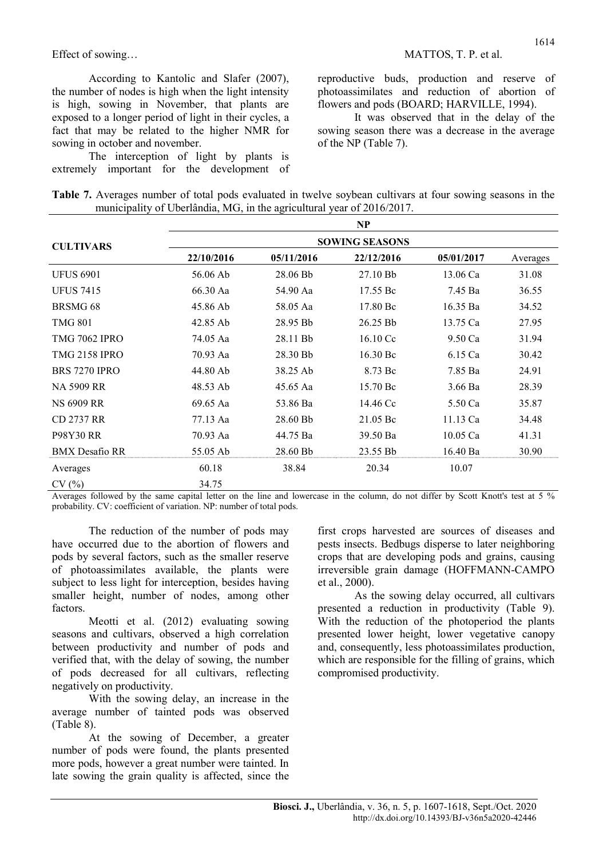According to Kantolic and Slafer (2007), the number of nodes is high when the light intensity is high, sowing in November, that plants are exposed to a longer period of light in their cycles, a fact that may be related to the higher NMR for sowing in october and november.

The interception of light by plants is extremely important for the development of reproductive buds, production and reserve of photoassimilates and reduction of abortion of flowers and pods (BOARD; HARVILLE, 1994).

It was observed that in the delay of the sowing season there was a decrease in the average of the NP (Table 7).

| Table 7. Averages number of total pods evaluated in twelve soybean cultivars at four sowing seasons in the |  |  |  |  |  |  |  |
|------------------------------------------------------------------------------------------------------------|--|--|--|--|--|--|--|
| municipality of Uberlândia, MG, in the agricultural year of 2016/2017.                                     |  |  |  |  |  |  |  |

|                       |            |            | NP                    |            |          |
|-----------------------|------------|------------|-----------------------|------------|----------|
| <b>CULTIVARS</b>      |            |            | <b>SOWING SEASONS</b> |            |          |
|                       | 22/10/2016 | 05/11/2016 | 22/12/2016            | 05/01/2017 | Averages |
| <b>UFUS 6901</b>      | 56.06 Ab   | 28.06 Bb   | 27.10 Bb              | 13.06 Ca   | 31.08    |
| <b>UFUS 7415</b>      | 66.30 Aa   | 54.90 Aa   | 17.55 Bc              | 7.45 Ba    | 36.55    |
| BRSMG <sub>68</sub>   | 45.86 Ab   | 58.05 Aa   | 17.80 Bc              | 16.35 Ba   | 34.52    |
| <b>TMG 801</b>        | 42.85 Ab   | 28.95 Bb   | 26.25 Bb              | 13.75 Ca   | 27.95    |
| <b>TMG 7062 IPRO</b>  | 74.05 Aa   | 28.11 Bb   | 16.10 Cc              | 9.50 Ca    | 31.94    |
| <b>TMG 2158 IPRO</b>  | 70.93 Aa   | 28.30 Bb   | 16.30 Bc              | 6.15 Ca    | 30.42    |
| <b>BRS 7270 IPRO</b>  | 44.80 Ab   | 38.25 Ab   | 8.73 Bc               | 7.85 Ba    | 24.91    |
| NA 5909 RR            | 48.53 Ab   | 45.65 Aa   | 15.70 Bc              | $3.66$ Ba  | 28.39    |
| <b>NS 6909 RR</b>     | 69.65 Aa   | 53.86 Ba   | 14.46 Cc              | 5.50 Ca    | 35.87    |
| <b>CD 2737 RR</b>     | 77.13 Aa   | 28.60 Bb   | 21.05 Bc              | 11.13 Ca   | 34.48    |
| P98Y30 RR             | 70.93 Aa   | 44.75 Ba   | 39.50 Ba              | $10.05$ Ca | 41.31    |
| <b>BMX</b> Desafio RR | 55.05 Ab   | 28.60 Bb   | 23.55 Bb              | 16.40 Ba   | 30.90    |
| Averages              | 60.18      | 38.84      | 20.34                 | 10.07      |          |
| CV(%)                 | 34.75      |            |                       |            |          |

Averages followed by the same capital letter on the line and lowercase in the column, do not differ by Scott Knott's test at 5 % probability. CV: coefficient of variation. NP: number of total pods.

The reduction of the number of pods may have occurred due to the abortion of flowers and pods by several factors, such as the smaller reserve of photoassimilates available, the plants were subject to less light for interception, besides having smaller height, number of nodes, among other factors.

Meotti et al. (2012) evaluating sowing seasons and cultivars, observed a high correlation between productivity and number of pods and verified that, with the delay of sowing, the number of pods decreased for all cultivars, reflecting negatively on productivity.

With the sowing delay, an increase in the average number of tainted pods was observed (Table 8).

At the sowing of December, a greater number of pods were found, the plants presented more pods, however a great number were tainted. In late sowing the grain quality is affected, since the first crops harvested are sources of diseases and pests insects. Bedbugs disperse to later neighboring crops that are developing pods and grains, causing irreversible grain damage (HOFFMANN-CAMPO et al., 2000).

As the sowing delay occurred, all cultivars presented a reduction in productivity (Table 9). With the reduction of the photoperiod the plants presented lower height, lower vegetative canopy and, consequently, less photoassimilates production, which are responsible for the filling of grains, which compromised productivity.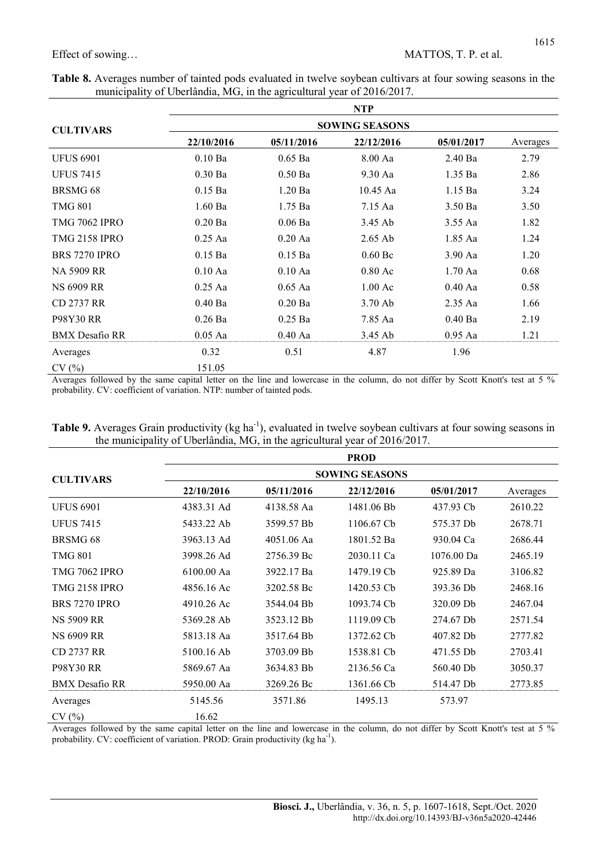÷

|  | Table 8. Averages number of tainted pods evaluated in twelve soybean cultivars at four sowing seasons in the |  |  |  |
|--|--------------------------------------------------------------------------------------------------------------|--|--|--|
|  | municipality of Uberlândia, MG, in the agricultural year of 2016/2017.                                       |  |  |  |

|                       | <b>NTP</b>            |            |                   |            |          |  |  |
|-----------------------|-----------------------|------------|-------------------|------------|----------|--|--|
| <b>CULTIVARS</b>      | <b>SOWING SEASONS</b> |            |                   |            |          |  |  |
|                       | 22/10/2016            | 05/11/2016 | 22/12/2016        | 05/01/2017 | Averages |  |  |
| <b>UFUS 6901</b>      | $0.10$ Ba             | $0.65$ Ba  | 8.00 Aa           | $2.40$ Ba  | 2.79     |  |  |
| <b>UFUS 7415</b>      | $0.30$ Ba             | $0.50$ Ba  | $9.30$ Aa         | $1.35$ Ba  | 2.86     |  |  |
| BRSMG <sub>68</sub>   | $0.15$ Ba             | $1.20$ Ba  | $10.45$ Aa        | $1.15$ Ba  | 3.24     |  |  |
| <b>TMG 801</b>        | $1.60$ Ba             | 1.75 Ba    | 7.15 Aa           | $3.50$ Ba  | 3.50     |  |  |
| <b>TMG 7062 IPRO</b>  | $0.20$ Ba             | $0.06$ Ba  | 3.45 Ab           | $3.55$ Aa  | 1.82     |  |  |
| <b>TMG 2158 IPRO</b>  | $0.25$ Aa             | $0.20$ Aa  | $2.65$ Ab         | 1.85 Aa    | 1.24     |  |  |
| <b>BRS 7270 IPRO</b>  | $0.15$ Ba             | $0.15$ Ba  | $0.60\,\text{Be}$ | $3.90$ Aa  | 1.20     |  |  |
| NA 5909 RR            | $0.10$ Aa             | $0.10$ Aa  | $0.80$ Ac         | $1.70$ Aa  | 0.68     |  |  |
| <b>NS 6909 RR</b>     | $0.25$ Aa             | $0.65$ Aa  | $1.00 \text{ Ac}$ | $0.40$ Aa  | 0.58     |  |  |
| CD 2737 RR            | $0.40$ Ba             | $0.20$ Ba  | $3.70$ Ab         | $2.35$ Aa  | 1.66     |  |  |
| <b>P98Y30 RR</b>      | $0.26$ Ba             | $0.25$ Ba  | 7.85 Aa           | $0.40$ Ba  | 2.19     |  |  |
| <b>BMX</b> Desafio RR | $0.05$ Aa             | $0.40$ Aa  | 3.45 Ab           | $0.95$ Aa  | 1.21     |  |  |
| Averages              | 0.32                  | 0.51       | 4.87              | 1.96       |          |  |  |
| CV(%)                 | 151.05                |            |                   |            |          |  |  |

Averages followed by the same capital letter on the line and lowercase in the column, do not differ by Scott Knott's test at 5 % probability. CV: coefficient of variation. NTP: number of tainted pods.

| Table 9. Averages Grain productivity (kg ha <sup>-1</sup> ), evaluated in twelve soybean cultivars at four sowing seasons in |  |
|------------------------------------------------------------------------------------------------------------------------------|--|
| the municipality of Uberlândia, MG, in the agricultural year of 2016/2017.                                                   |  |

|                       |                       |            | <b>PROD</b> |            |          |  |  |
|-----------------------|-----------------------|------------|-------------|------------|----------|--|--|
| <b>CULTIVARS</b>      | <b>SOWING SEASONS</b> |            |             |            |          |  |  |
|                       | 22/10/2016            | 05/11/2016 | 22/12/2016  | 05/01/2017 | Averages |  |  |
| <b>UFUS 6901</b>      | 4383.31 Ad            | 4138.58 Aa | 1481.06 Bb  | 437.93 Cb  | 2610.22  |  |  |
| <b>UFUS 7415</b>      | 5433.22 Ab            | 3599.57 Bb | 1106.67 Cb  | 575.37 Db  | 2678.71  |  |  |
| BRSMG <sub>68</sub>   | 3963.13 Ad            | 4051.06 Aa | 1801.52 Ba  | 930.04 Ca  | 2686.44  |  |  |
| <b>TMG 801</b>        | 3998.26 Ad            | 2756.39 Bc | 2030.11 Ca  | 1076.00 Da | 2465.19  |  |  |
| <b>TMG 7062 IPRO</b>  | 6100.00 Aa            | 3922.17 Ba | 1479.19 Cb  | 925.89 Da  | 3106.82  |  |  |
| <b>TMG 2158 IPRO</b>  | 4856.16 Ac            | 3202.58 Bc | 1420.53 Cb  | 393.36 Db  | 2468.16  |  |  |
| <b>BRS 7270 IPRO</b>  | 4910.26 Ac            | 3544.04 Bb | 1093.74 Cb  | 320.09 Db  | 2467.04  |  |  |
| <b>NS 5909 RR</b>     | 5369.28 Ab            | 3523.12 Bb | 1119.09 Cb  | 274.67 Db  | 2571.54  |  |  |
| <b>NS 6909 RR</b>     | 5813.18 Aa            | 3517.64 Bb | 1372.62 Cb  | 407.82 Db  | 2777.82  |  |  |
| CD 2737 RR            | 5100.16 Ab            | 3703.09 Bb | 1538.81 Cb  | 471.55 Db  | 2703.41  |  |  |
| <b>P98Y30 RR</b>      | 5869.67 Aa            | 3634.83 Bb | 2136.56 Ca  | 560.40 Db  | 3050.37  |  |  |
| <b>BMX</b> Desafio RR | 5950.00 Aa            | 3269.26 Bc | 1361.66 Cb  | 514.47 Db  | 2773.85  |  |  |
| Averages              | 5145.56               | 3571.86    | 1495.13     | 573.97     |          |  |  |
| CV(%)                 | 16.62                 |            |             |            |          |  |  |

Averages followed by the same capital letter on the line and lowercase in the column, do not differ by Scott Knott's test at 5 % probability. CV: coefficient of variation. PROD: Grain productivity (kg ha<sup>-1</sup>).

# 1615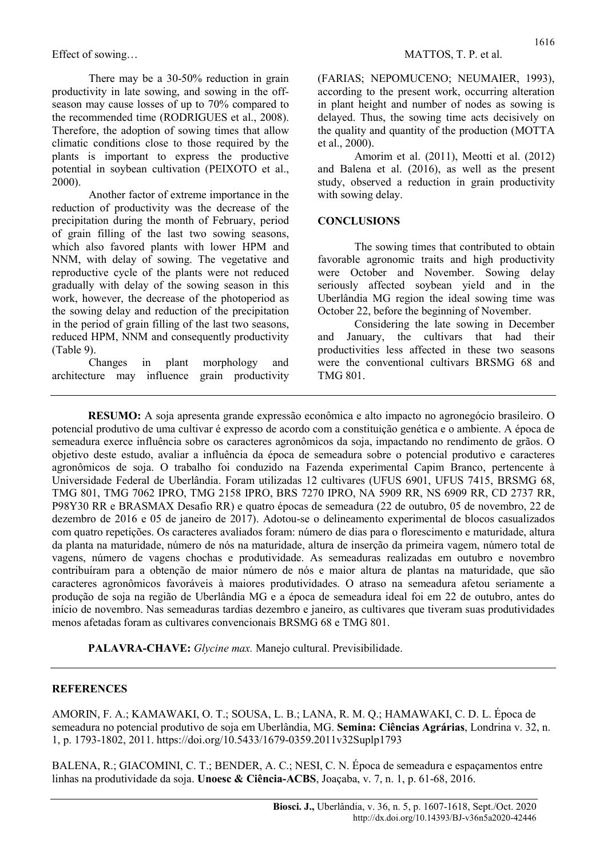There may be a 30-50% reduction in grain productivity in late sowing, and sowing in the offseason may cause losses of up to 70% compared to the recommended time (RODRIGUES et al., 2008). Therefore, the adoption of sowing times that allow climatic conditions close to those required by the plants is important to express the productive potential in soybean cultivation (PEIXOTO et al., 2000).

Another factor of extreme importance in the reduction of productivity was the decrease of the precipitation during the month of February, period of grain filling of the last two sowing seasons, which also favored plants with lower HPM and NNM, with delay of sowing. The vegetative and reproductive cycle of the plants were not reduced gradually with delay of the sowing season in this work, however, the decrease of the photoperiod as the sowing delay and reduction of the precipitation in the period of grain filling of the last two seasons, reduced HPM, NNM and consequently productivity (Table 9).

Changes in plant morphology and architecture may influence grain productivity (FARIAS; NEPOMUCENO; NEUMAIER, 1993), according to the present work, occurring alteration in plant height and number of nodes as sowing is delayed. Thus, the sowing time acts decisively on the quality and quantity of the production (MOTTA et al., 2000).

Amorim et al. (2011), Meotti et al. (2012) and Balena et al. (2016), as well as the present study, observed a reduction in grain productivity with sowing delay.

### **CONCLUSIONS**

The sowing times that contributed to obtain favorable agronomic traits and high productivity were October and November. Sowing delay seriously affected soybean yield and in the Uberlândia MG region the ideal sowing time was October 22, before the beginning of November.

Considering the late sowing in December and January, the cultivars that had their productivities less affected in these two seasons were the conventional cultivars BRSMG 68 and TMG 801.

RESUMO: A soja apresenta grande expressão econômica e alto impacto no agronegócio brasileiro. O potencial produtivo de uma cultivar é expresso de acordo com a constituição genética e o ambiente. A época de semeadura exerce influência sobre os caracteres agronômicos da soja, impactando no rendimento de grãos. O objetivo deste estudo, avaliar a influência da época de semeadura sobre o potencial produtivo e caracteres agronômicos de soja. O trabalho foi conduzido na Fazenda experimental Capim Branco, pertencente à Universidade Federal de Uberlândia. Foram utilizadas 12 cultivares (UFUS 6901, UFUS 7415, BRSMG 68, TMG 801, TMG 7062 IPRO, TMG 2158 IPRO, BRS 7270 IPRO, NA 5909 RR, NS 6909 RR, CD 2737 RR, P98Y30 RR e BRASMAX Desafio RR) e quatro épocas de semeadura (22 de outubro, 05 de novembro, 22 de dezembro de 2016 e 05 de janeiro de 2017). Adotou-se o delineamento experimental de blocos casualizados com quatro repetições. Os caracteres avaliados foram: número de dias para o florescimento e maturidade, altura da planta na maturidade, número de nós na maturidade, altura de inserção da primeira vagem, número total de vagens, número de vagens chochas e produtividade. As semeaduras realizadas em outubro e novembro contribuíram para a obtenção de maior número de nós e maior altura de plantas na maturidade, que são caracteres agronômicos favoráveis à maiores produtividades. O atraso na semeadura afetou seriamente a produção de soja na região de Uberlândia MG e a época de semeadura ideal foi em 22 de outubro, antes do início de novembro. Nas semeaduras tardias dezembro e janeiro, as cultivares que tiveram suas produtividades menos afetadas foram as cultivares convencionais BRSMG 68 e TMG 801.

PALAVRA-CHAVE: Glycine max. Manejo cultural. Previsibilidade.

### **REFERENCES**

AMORIN, F. A.; KAMAWAKI, O. T.; SOUSA, L. B.; LANA, R. M. Q.; HAMAWAKI, C. D. L. Época de semeadura no potencial produtivo de soja em Uberlândia, MG. Semina: Ciências Agrárias, Londrina v. 32, n. 1, p. 1793-1802, 2011. https://doi.org/10.5433/1679-0359.2011v32Suplp1793

BALENA, R.; GIACOMINI, C. T.; BENDER, A. C.; NESI, C. N. Época de semeadura e espaçamentos entre linhas na produtividade da soja. Unoesc & Ciência-ACBS, Joacaba, v. 7, n. 1, p. 61-68, 2016.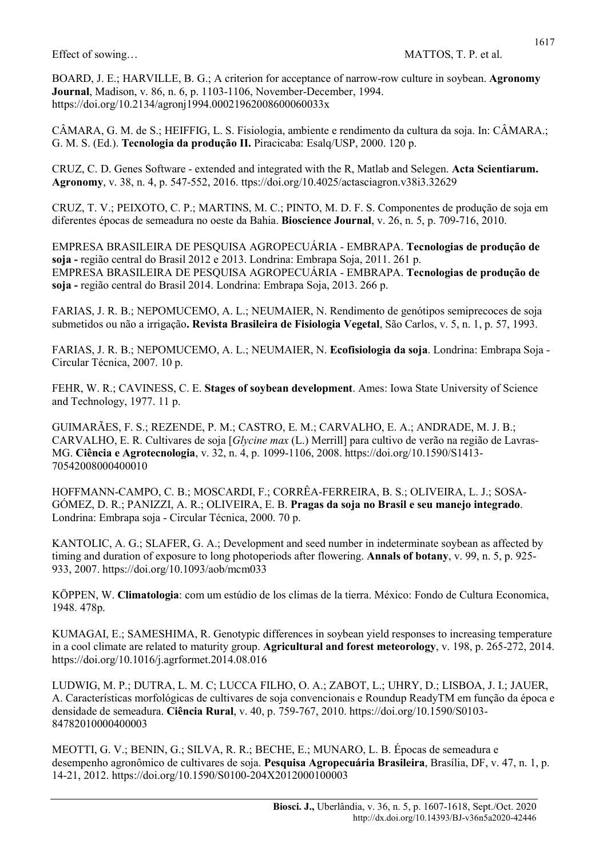BOARD, J. E.; HARVILLE, B. G.; A criterion for acceptance of narrow-row culture in soybean. Agronomy Journal, Madison, v. 86, n. 6, p. 1103-1106, November-December, 1994. https://doi.org/10.2134/agronj1994.00021962008600060033x

CÂMARA, G. M. de S.; HEIFFIG, L. S. Fisiologia, ambiente e rendimento da cultura da soja. In: CÂMARA.; G. M. S. (Ed.). Tecnologia da produção II. Piracicaba: Esalq/USP, 2000. 120 p.

CRUZ, C. D. Genes Software - extended and integrated with the R, Matlab and Selegen. Acta Scientiarum. Agronomy, v. 38, n. 4, p. 547-552, 2016. ttps://doi.org/10.4025/actasciagron.v38i3.32629

CRUZ, T. V.; PEIXOTO, C. P.; MARTINS, M. C.; PINTO, M. D. F. S. Componentes de produção de soja em diferentes épocas de semeadura no oeste da Bahia. Bioscience Journal, v. 26, n. 5, p. 709-716, 2010.

EMPRESA BRASILEIRA DE PESQUISA AGROPECUÁRIA - EMBRAPA. Tecnologias de produção de soja - região central do Brasil 2012 e 2013. Londrina: Embrapa Soja, 2011. 261 p. EMPRESA BRASILEIRA DE PESQUISA AGROPECUÁRIA - EMBRAPA. Tecnologias de produção de soja - região central do Brasil 2014. Londrina: Embrapa Soja, 2013. 266 p.

FARIAS, J. R. B.; NEPOMUCEMO, A. L.; NEUMAIER, N. Rendimento de genótipos semiprecoces de soja submetidos ou não a irrigação. Revista Brasileira de Fisiologia Vegetal, São Carlos, v. 5, n. 1, p. 57, 1993.

FARIAS, J. R. B.; NEPOMUCEMO, A. L.; NEUMAIER, N. Ecofisiologia da soja. Londrina: Embrapa Soja - Circular Técnica, 2007. 10 p.

FEHR, W. R.; CAVINESS, C. E. Stages of soybean development. Ames: Iowa State University of Science and Technology, 1977. 11 p.

GUIMARÃES, F. S.; REZENDE, P. M.; CASTRO, E. M.; CARVALHO, E. A.; ANDRADE, M. J. B.; CARVALHO, E. R. Cultivares de soja [Glycine max (L.) Merrill] para cultivo de verão na região de Lavras-MG. Ciência e Agrotecnologia, v. 32, n. 4, p. 1099-1106, 2008. https://doi.org/10.1590/S1413- 70542008000400010

HOFFMANN-CAMPO, C. B.; MOSCARDI, F.; CORRÊA-FERREIRA, B. S.; OLIVEIRA, L. J.; SOSA-GÓMEZ, D. R.; PANIZZI, A. R.; OLIVEIRA, E. B. Pragas da soja no Brasil e seu manejo integrado. Londrina: Embrapa soja - Circular Técnica, 2000. 70 p.

KANTOLIC, A. G.; SLAFER, G. A.; Development and seed number in indeterminate soybean as affected by timing and duration of exposure to long photoperiods after flowering. Annals of botany, v. 99, n. 5, p. 925-933, 2007. https://doi.org/10.1093/aob/mcm033

KÖPPEN, W. Climatologia: com um estúdio de los climas de la tierra. México: Fondo de Cultura Economica, 1948. 478p.

KUMAGAI, E.; SAMESHIMA, R. Genotypic differences in soybean yield responses to increasing temperature in a cool climate are related to maturity group. Agricultural and forest meteorology, v. 198, p. 265-272, 2014. https://doi.org/10.1016/j.agrformet.2014.08.016

LUDWIG, M. P.; DUTRA, L. M. C; LUCCA FILHO, O. A.; ZABOT, L.; UHRY, D.; LISBOA, J. I.; JAUER, A. Características morfológicas de cultivares de soja convencionais e Roundup ReadyTM em função da época e densidade de semeadura. Ciência Rural, v. 40, p. 759-767, 2010. https://doi.org/10.1590/S0103- 84782010000400003

MEOTTI, G. V.; BENIN, G.; SILVA, R. R.; BECHE, E.; MUNARO, L. B. Épocas de semeadura e desempenho agronômico de cultivares de soja. Pesquisa Agropecuária Brasileira, Brasília, DF, v. 47, n. 1, p. 14-21, 2012. https://doi.org/10.1590/S0100-204X2012000100003